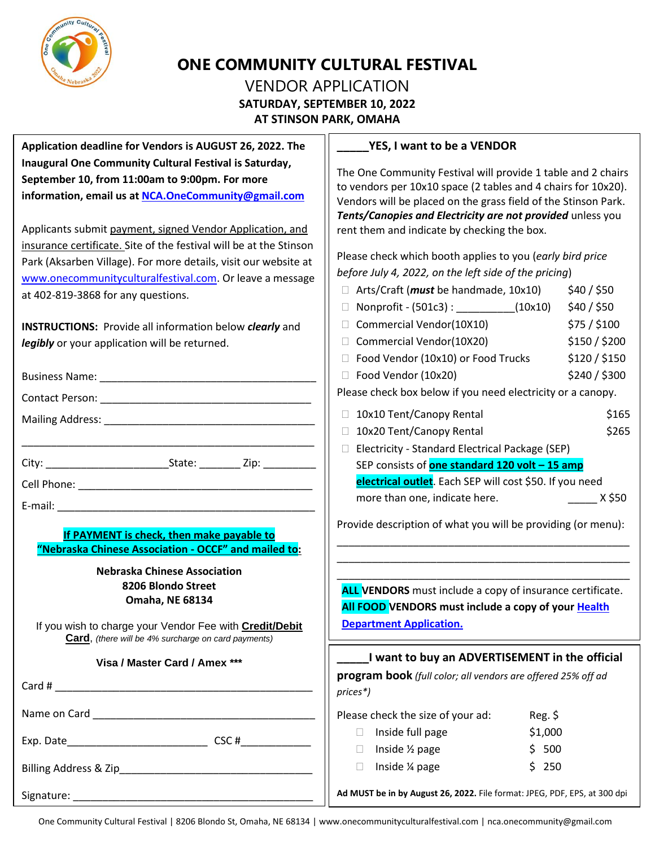

# **ONE COMMUNITY CULTURAL FESTIVAL**

## VENDOR APPLICATION **SATURDAY, SEPTEMBER 10, 2022 AT STINSON PARK, OMAHA**

**Application deadline for Vendors is AUGUST 26, 2022. The Inaugural One Community Cultural Festival is Saturday, September 10, from 11:00am to 9:00pm. For more information, email us at [NCA.OneCommunity@gmail.com](mailto:NCA.OneCommunity@gmail.com)**

Applicants submit payment, signed Vendor Application, and insurance certificate. Site of the festival will be at the Stinson Park (Aksarben Village). For more details, visit our website at [www.onecommunityculturalfestival.com.](http://www.onecommunityculturalfestival.com/) Or leave a message at 402-819-3868 for any questions.

**INSTRUCTIONS:** Provide all information below *clearly* and *legibly* or your application will be returned.

|                                                                                                                                                                                                               | $\Box$ Food Vendor (10x10) or Food Trucks<br>\$120 / \$150<br>\$240 / \$300<br>$\Box$ Food Vendor (10x20)<br>Please check box below if you need electricity or a canopy.                                                                                                         |  |
|---------------------------------------------------------------------------------------------------------------------------------------------------------------------------------------------------------------|----------------------------------------------------------------------------------------------------------------------------------------------------------------------------------------------------------------------------------------------------------------------------------|--|
|                                                                                                                                                                                                               | 10x10 Tent/Canopy Rental<br>\$165<br>10x20 Tent/Canopy Rental<br>\$265                                                                                                                                                                                                           |  |
|                                                                                                                                                                                                               | Electricity - Standard Electrical Package (SEP)<br>SEP consists of <b>one standard 120 volt - 15 amp</b><br>electrical outlet. Each SEP will cost \$50. If you need<br>more than one, indicate here.<br>X \$50                                                                   |  |
| If PAYMENT is check, then make payable to<br>"Nebraska Chinese Association - OCCF" and mailed to:                                                                                                             | Provide description of what you will be providing (or menu):                                                                                                                                                                                                                     |  |
| <b>Nebraska Chinese Association</b><br>8206 Blondo Street<br><b>Omaha, NE 68134</b><br>If you wish to charge your Vendor Fee with Credit/Debit<br><b>Card</b> , (there will be 4% surcharge on card payments) | ALL VENDORS must include a copy of insurance certificate.<br>All FOOD VENDORS must include a copy of your Health<br><b>Department Application.</b><br>I want to buy an ADVERTISEMENT in the official<br>program book (full color; all vendors are offered 25% off ad<br>prices*) |  |
| Visa / Master Card / Amex ***                                                                                                                                                                                 |                                                                                                                                                                                                                                                                                  |  |
|                                                                                                                                                                                                               | Please check the size of your ad:<br>$Reg.$ \$                                                                                                                                                                                                                                   |  |
|                                                                                                                                                                                                               | Inside full page<br>\$1,000<br>$\mathbf{1}$<br>Inside $\frac{1}{2}$ page<br>\$500<br>$\Box$<br>Inside 1/4 page<br>\$250<br>П                                                                                                                                                     |  |
|                                                                                                                                                                                                               | Ad MUST be in by August 26, 2022. File format: JPEG, PDF, EPS, at 300 dpi                                                                                                                                                                                                        |  |
|                                                                                                                                                                                                               |                                                                                                                                                                                                                                                                                  |  |

## **\_\_\_\_\_YES, I want to be a VENDOR**

The One Community Festival will provide 1 table and 2 chairs to vendors per 10x10 space (2 tables and 4 chairs for 10x20). Vendors will be placed on the grass field of the Stinson Park. *Tents/Canopies and Electricity are not provided* unless you rent them and indicate by checking the box.

Please check which booth applies to you (*early bird price before July 4, 2022, on the left side of the pricing*)

|                                                             | □ Arts/Craft ( <i>must</i> be handmade, 10x10) | \$40/\$50     |  |
|-------------------------------------------------------------|------------------------------------------------|---------------|--|
|                                                             | $\Box$ Nonprofit - (501c3) :<br>(10x10)        | \$40 / \$50   |  |
|                                                             | □ Commercial Vendor(10X10)                     | \$75 / \$100  |  |
|                                                             | □ Commercial Vendor(10X20)                     | \$150 / \$200 |  |
|                                                             | □ Food Vendor (10x10) or Food Trucks           | \$120/\$150   |  |
|                                                             | □ Food Vendor (10x20)                          | \$240 / \$300 |  |
| Please check box below if you need electricity or a canopy. |                                                |               |  |
|                                                             |                                                |               |  |

| 10x10 Tent/Canopy Rental | \$165 |
|--------------------------|-------|
|                          |       |

|  | 10x20 Tent/Canopy Rental | \$265 |
|--|--------------------------|-------|
|--|--------------------------|-------|

## **ERTISEMENT in the official**

| $\Box$ Inside full page | \$1,000 |
|-------------------------|---------|
| $\Box$ Inside 1/2 page  | \$ 500  |
| $\Box$ Inside % page    | $S$ 250 |